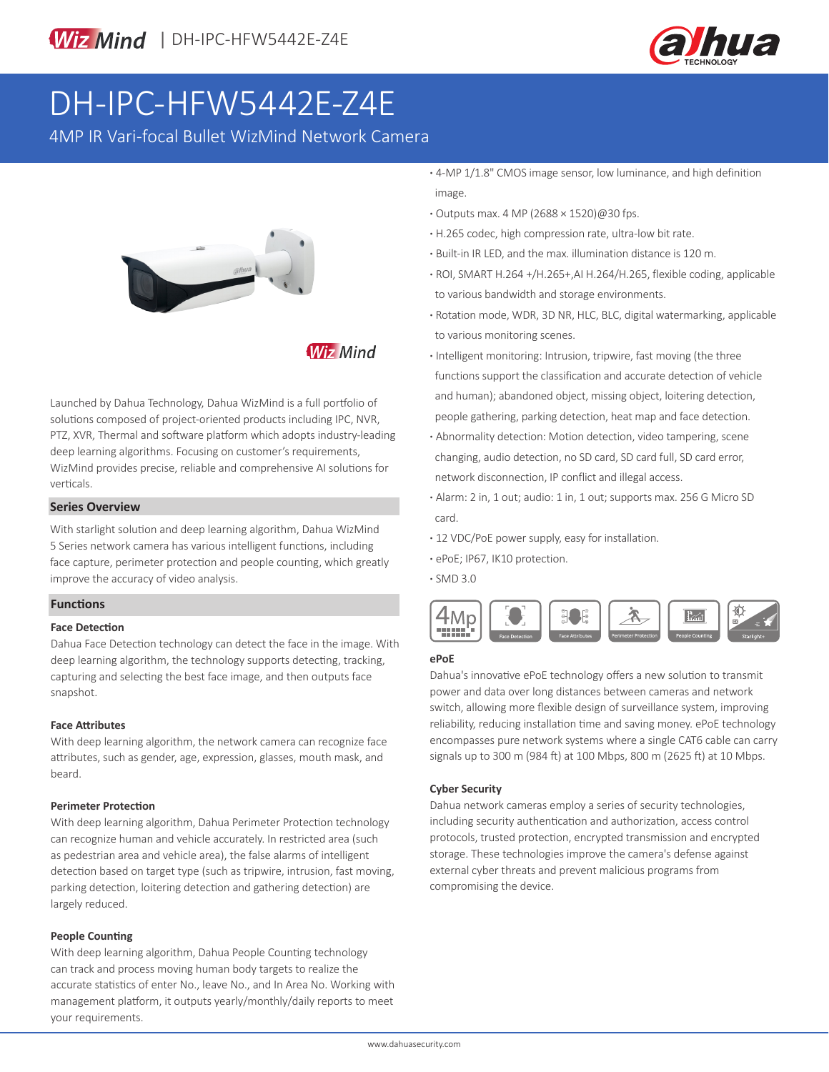



# DH-IPC-HFW5442E-Z4E

4MP IR Vari-focal Bullet WizMind Network Camera



**Wiz Mind** 

Launched by Dahua Technology, Dahua WizMind is a full portfolio of solutions composed of project-oriented products including IPC, NVR, PTZ, XVR, Thermal and software platform which adopts industry-leading deep learning algorithms. Focusing on customer's requirements, WizMind provides precise, reliable and comprehensive AI solutions for verticals.

#### **Series Overview**

With starlight solution and deep learning algorithm, Dahua WizMind 5 Series network camera has various intelligent functions, including face capture, perimeter protection and people counting, which greatly improve the accuracy of video analysis.

#### **Functions**

#### **Face Detection**

Dahua Face Detection technology can detect the face in the image. With deep learning algorithm, the technology supports detecting, tracking, capturing and selecting the best face image, and then outputs face snapshot.

#### **Face Attributes**

With deep learning algorithm, the network camera can recognize face attributes, such as gender, age, expression, glasses, mouth mask, and beard.

#### **Perimeter Protection**

With deep learning algorithm, Dahua Perimeter Protection technology can recognize human and vehicle accurately. In restricted area (such as pedestrian area and vehicle area), the false alarms of intelligent detection based on target type (such as tripwire, intrusion, fast moving, parking detection, loitering detection and gathering detection) are largely reduced.

#### **People Counting**

With deep learning algorithm, Dahua People Counting technology can track and process moving human body targets to realize the accurate statistics of enter No., leave No., and In Area No. Working with management platform, it outputs yearly/monthly/daily reports to meet your requirements.

**·** 4-MP 1/1.8" CMOS image sensor, low luminance, and high definition image.

- **·** Outputs max. 4 MP (2688 × 1520)@30 fps.
- **·** H.265 codec, high compression rate, ultra-low bit rate.
- **·** Built-in IR LED, and the max. illumination distance is 120 m.
- **·** ROI, SMART H.264 +/H.265+,AI H.264/H.265, flexible coding, applicable to various bandwidth and storage environments.
- **·** Rotation mode, WDR, 3D NR, HLC, BLC, digital watermarking, applicable to various monitoring scenes.
- **·** Intelligent monitoring: Intrusion, tripwire, fast moving (the three functions support the classification and accurate detection of vehicle and human); abandoned object, missing object, loitering detection, people gathering, parking detection, heat map and face detection.
- **·** Abnormality detection: Motion detection, video tampering, scene changing, audio detection, no SD card, SD card full, SD card error, network disconnection, IP conflict and illegal access.
- **·** Alarm: 2 in, 1 out; audio: 1 in, 1 out; supports max. 256 G Micro SD card.
- **·** 12 VDC/PoE power supply, easy for installation.
- **·** ePoE; IP67, IK10 protection.

**·** SMD 3.0



#### **ePoE**

Dahua's innovative ePoE technology offers a new solution to transmit power and data over long distances between cameras and network switch, allowing more flexible design of surveillance system, improving reliability, reducing installation time and saving money. ePoE technology encompasses pure network systems where a single CAT6 cable can carry signals up to 300 m (984 ft) at 100 Mbps, 800 m (2625 ft) at 10 Mbps.

#### **Cyber Security**

Dahua network cameras employ a series of security technologies, including security authentication and authorization, access control protocols, trusted protection, encrypted transmission and encrypted storage. These technologies improve the camera's defense against external cyber threats and prevent malicious programs from compromising the device.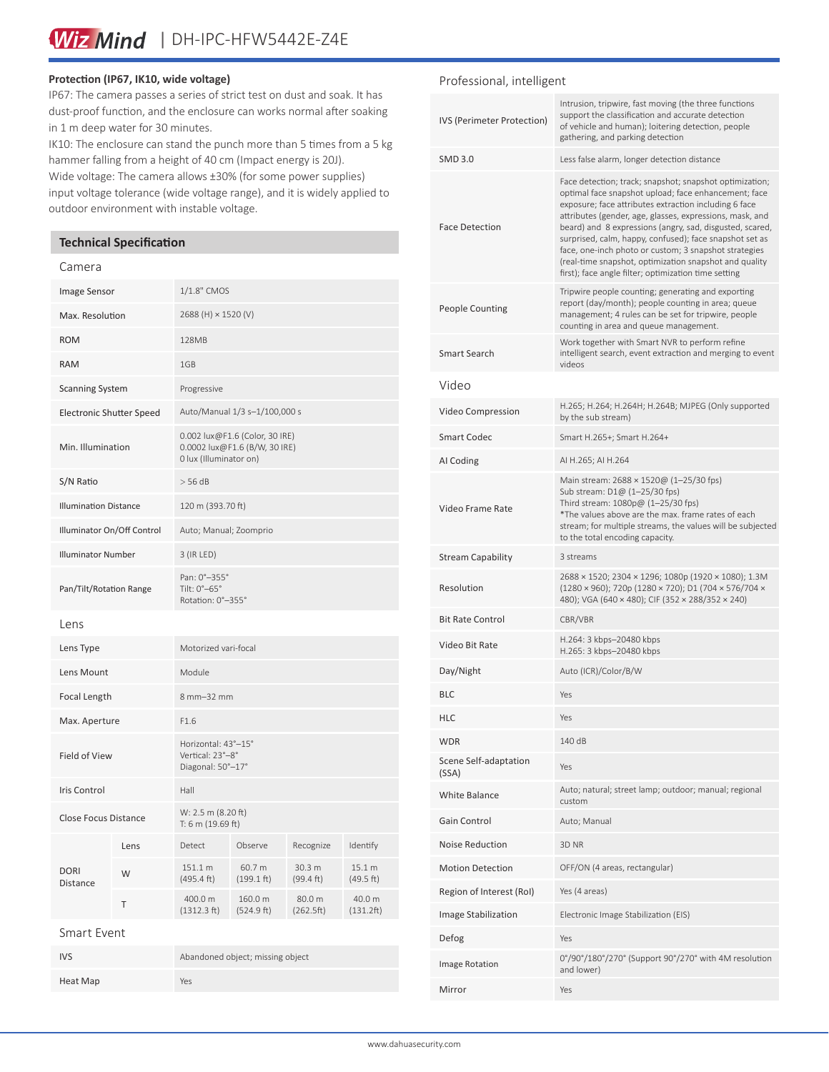#### **Protection (IP67, IK10, wide voltage)**

IP67: The camera passes a series of strict test on dust and soak. It has dust-proof function, and the enclosure can works normal after soaking in 1 m deep water for 30 minutes.

IK10: The enclosure can stand the punch more than 5 times from a 5 kg hammer falling from a height of 40 cm (Impact energy is 20J). Wide voltage: The camera allows ±30% (for some power supplies) input voltage tolerance (wide voltage range), and it is widely applied to outdoor environment with instable voltage.

#### **Technical Specification**

#### Camera

| Image Sensor                 |      | 1/1.8" CMOS                                                                               |                       |                     |                     |
|------------------------------|------|-------------------------------------------------------------------------------------------|-----------------------|---------------------|---------------------|
| Max. Resolution              |      | 2688 (H) × 1520 (V)                                                                       |                       |                     |                     |
| <b>ROM</b>                   |      | 128MB                                                                                     |                       |                     |                     |
| <b>RAM</b>                   |      | 1GB                                                                                       |                       |                     |                     |
| <b>Scanning System</b>       |      | Progressive                                                                               |                       |                     |                     |
| Electronic Shutter Speed     |      | Auto/Manual 1/3 s-1/100,000 s                                                             |                       |                     |                     |
| Min. Illumination            |      | 0.002 lux@F1.6 (Color, 30 IRE)<br>0.0002 lux@F1.6 (B/W, 30 IRE)<br>0 lux (Illuminator on) |                       |                     |                     |
| S/N Ratio                    |      | $>$ 56 dB                                                                                 |                       |                     |                     |
| <b>Illumination Distance</b> |      | 120 m (393.70 ft)                                                                         |                       |                     |                     |
| Illuminator On/Off Control   |      | Auto; Manual; Zoomprio                                                                    |                       |                     |                     |
| <b>Illuminator Number</b>    |      | 3 (IR LED)                                                                                |                       |                     |                     |
| Pan/Tilt/Rotation Range      |      | Pan: 0°-355°<br>Tilt: 0°-65°<br>Rotation: 0°-355°                                         |                       |                     |                     |
| Lens                         |      |                                                                                           |                       |                     |                     |
| Lens Type                    |      | Motorized vari-focal                                                                      |                       |                     |                     |
| Lens Mount                   |      | Module                                                                                    |                       |                     |                     |
| Focal Length                 |      | 8 mm-32 mm                                                                                |                       |                     |                     |
| Max. Aperture                |      | F1.6                                                                                      |                       |                     |                     |
| Field of View                |      | Horizontal: 43°-15°<br>Vertical: 23°-8°<br>Diagonal: 50°-17°                              |                       |                     |                     |
| Iris Control                 |      | Hall                                                                                      |                       |                     |                     |
| <b>Close Focus Distance</b>  |      | W: 2.5 m (8.20 ft)<br>T: 6 m (19.69 ft)                                                   |                       |                     |                     |
| <b>DORI</b><br>Distance      | Lens | Detect                                                                                    | Observe               | Recognize           | Identify            |
|                              | W    | 151.1 m<br>(495.4 ft)                                                                     | 60.7 m<br>(199.1 ft)  | 30.3 m<br>(99.4 ft) | 15.1 m<br>(49.5 ft) |
|                              | Τ    | 400.0 m<br>(1312.3 ft)                                                                    | 160.0 m<br>(524.9 ft) | 80.0 m<br>(262.5ft) | 40.0 m<br>(131.2ft) |
| Smart Event                  |      |                                                                                           |                       |                     |                     |
| <b>IVS</b>                   |      | Abandoned object; missing object                                                          |                       |                     |                     |
| Heat Map                     |      | Yes                                                                                       |                       |                     |                     |

#### Professional, intelligent

| IVS (Perimeter Protection)     | Intrusion, tripwire, fast moving (the three functions<br>support the classification and accurate detection<br>of vehicle and human); loitering detection, people<br>gathering, and parking detection                                                                                                                                                                                                                                                                                                                                   |  |  |
|--------------------------------|----------------------------------------------------------------------------------------------------------------------------------------------------------------------------------------------------------------------------------------------------------------------------------------------------------------------------------------------------------------------------------------------------------------------------------------------------------------------------------------------------------------------------------------|--|--|
| <b>SMD 3.0</b>                 | Less false alarm, longer detection distance                                                                                                                                                                                                                                                                                                                                                                                                                                                                                            |  |  |
| <b>Face Detection</b>          | Face detection; track; snapshot; snapshot optimization;<br>optimal face snapshot upload; face enhancement; face<br>exposure; face attributes extraction including 6 face<br>attributes (gender, age, glasses, expressions, mask, and<br>beard) and 8 expressions (angry, sad, disgusted, scared,<br>surprised, calm, happy, confused); face snapshot set as<br>face, one-inch photo or custom; 3 snapshot strategies<br>(real-time snapshot, optimization snapshot and quality<br>first); face angle filter; optimization time setting |  |  |
| <b>People Counting</b>         | Tripwire people counting; generating and exporting<br>report (day/month); people counting in area; queue<br>management; 4 rules can be set for tripwire, people<br>counting in area and queue management.                                                                                                                                                                                                                                                                                                                              |  |  |
| Smart Search                   | Work together with Smart NVR to perform refine<br>intelligent search, event extraction and merging to event<br>videos                                                                                                                                                                                                                                                                                                                                                                                                                  |  |  |
| Video                          |                                                                                                                                                                                                                                                                                                                                                                                                                                                                                                                                        |  |  |
| Video Compression              | H.265; H.264; H.264H; H.264B; MJPEG (Only supported<br>by the sub stream)                                                                                                                                                                                                                                                                                                                                                                                                                                                              |  |  |
| <b>Smart Codec</b>             | Smart H.265+; Smart H.264+                                                                                                                                                                                                                                                                                                                                                                                                                                                                                                             |  |  |
| AI Coding                      | AI H.265; AI H.264                                                                                                                                                                                                                                                                                                                                                                                                                                                                                                                     |  |  |
| Video Frame Rate               | Main stream: 2688 × 1520@ (1-25/30 fps)<br>Sub stream: D1@ (1-25/30 fps)<br>Third stream: 1080p@ (1-25/30 fps)<br>*The values above are the max. frame rates of each<br>stream; for multiple streams, the values will be subjected<br>to the total encoding capacity.                                                                                                                                                                                                                                                                  |  |  |
| <b>Stream Capability</b>       | 3 streams                                                                                                                                                                                                                                                                                                                                                                                                                                                                                                                              |  |  |
|                                |                                                                                                                                                                                                                                                                                                                                                                                                                                                                                                                                        |  |  |
| Resolution                     | 2688 × 1520; 2304 × 1296; 1080p (1920 × 1080); 1.3M<br>(1280 × 960); 720p (1280 × 720); D1 (704 × 576/704 ×<br>480); VGA (640 × 480); CIF (352 × 288/352 × 240)                                                                                                                                                                                                                                                                                                                                                                        |  |  |
| <b>Bit Rate Control</b>        | CBR/VBR                                                                                                                                                                                                                                                                                                                                                                                                                                                                                                                                |  |  |
| Video Bit Rate                 | H.264: 3 kbps-20480 kbps<br>H.265: 3 kbps-20480 kbps                                                                                                                                                                                                                                                                                                                                                                                                                                                                                   |  |  |
| Day/Night                      | Auto (ICR)/Color/B/W                                                                                                                                                                                                                                                                                                                                                                                                                                                                                                                   |  |  |
| <b>BLC</b>                     | Yes                                                                                                                                                                                                                                                                                                                                                                                                                                                                                                                                    |  |  |
| HLC                            | Yes                                                                                                                                                                                                                                                                                                                                                                                                                                                                                                                                    |  |  |
| <b>WDR</b>                     | 140 dB                                                                                                                                                                                                                                                                                                                                                                                                                                                                                                                                 |  |  |
| Scene Self-adaptation<br>(SSA) | Yes                                                                                                                                                                                                                                                                                                                                                                                                                                                                                                                                    |  |  |
| <b>White Balance</b>           | Auto; natural; street lamp; outdoor; manual; regional<br>custom                                                                                                                                                                                                                                                                                                                                                                                                                                                                        |  |  |
| Gain Control                   | Auto; Manual                                                                                                                                                                                                                                                                                                                                                                                                                                                                                                                           |  |  |
| Noise Reduction                | 3D NR                                                                                                                                                                                                                                                                                                                                                                                                                                                                                                                                  |  |  |
| <b>Motion Detection</b>        | OFF/ON (4 areas, rectangular)                                                                                                                                                                                                                                                                                                                                                                                                                                                                                                          |  |  |
| Region of Interest (RoI)       | Yes (4 areas)                                                                                                                                                                                                                                                                                                                                                                                                                                                                                                                          |  |  |
| Image Stabilization            | Electronic Image Stabilization (EIS)                                                                                                                                                                                                                                                                                                                                                                                                                                                                                                   |  |  |
| Defog                          | Yes                                                                                                                                                                                                                                                                                                                                                                                                                                                                                                                                    |  |  |
| Image Rotation                 | 0°/90°/180°/270° (Support 90°/270° with 4M resolution<br>and lower)                                                                                                                                                                                                                                                                                                                                                                                                                                                                    |  |  |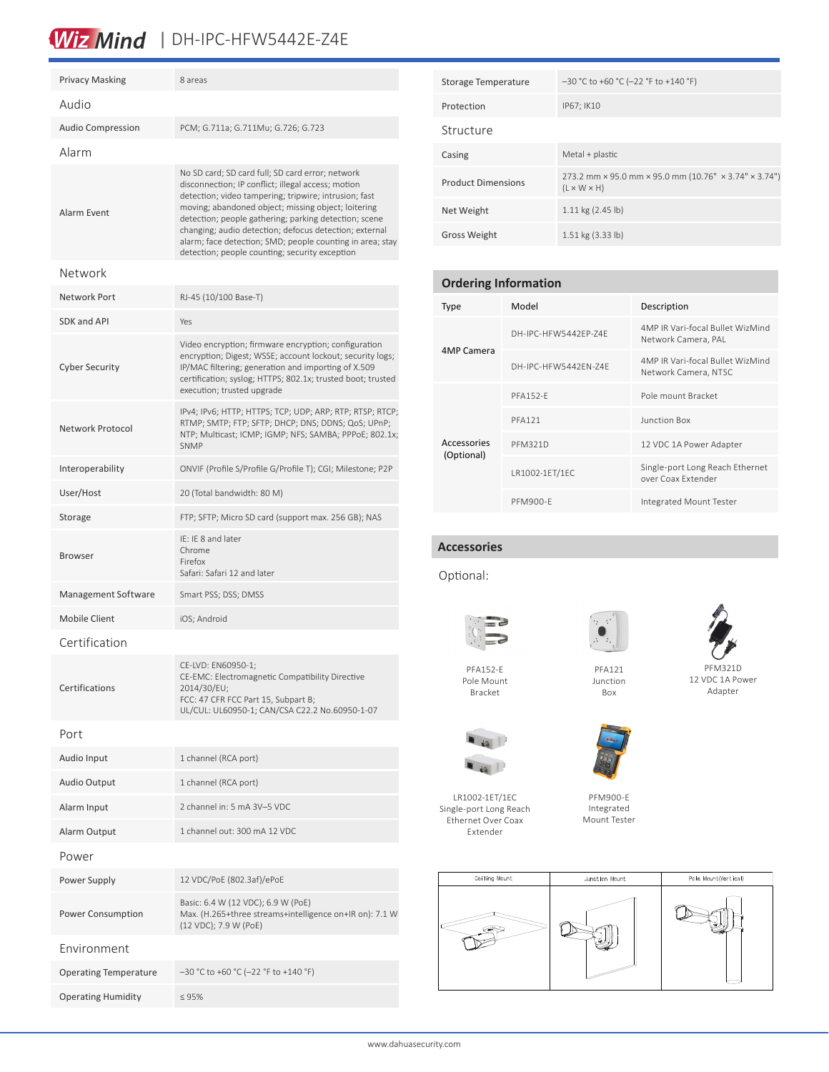## Wiz Mind | DH-IPC-HFW5442E-Z4E

| <b>Privacy Masking</b>       | 8 areas                                                                                                                                                                                                                                                                                                                                                                                                                                                  |  |
|------------------------------|----------------------------------------------------------------------------------------------------------------------------------------------------------------------------------------------------------------------------------------------------------------------------------------------------------------------------------------------------------------------------------------------------------------------------------------------------------|--|
| Audio                        |                                                                                                                                                                                                                                                                                                                                                                                                                                                          |  |
| <b>Audio Compression</b>     | PCM; G.711a; G.711Mu; G.726; G.723                                                                                                                                                                                                                                                                                                                                                                                                                       |  |
| Alarm                        |                                                                                                                                                                                                                                                                                                                                                                                                                                                          |  |
| Alarm Fvent                  | No SD card; SD card full; SD card error; network<br>disconnection; IP conflict; illegal access; motion<br>detection; video tampering; tripwire; intrusion; fast<br>moving; abandoned object; missing object; loitering<br>detection; people gathering; parking detection; scene<br>changing; audio detection; defocus detection; external<br>alarm; face detection; SMD; people counting in area; stay<br>detection; people counting; security exception |  |
| Network                      |                                                                                                                                                                                                                                                                                                                                                                                                                                                          |  |
| Network Port                 | RJ-45 (10/100 Base-T)                                                                                                                                                                                                                                                                                                                                                                                                                                    |  |
| SDK and API                  | Yes                                                                                                                                                                                                                                                                                                                                                                                                                                                      |  |
| <b>Cyber Security</b>        | Video encryption; firmware encryption; configuration<br>encryption; Digest; WSSE; account lockout; security logs;<br>IP/MAC filtering; generation and importing of X.509<br>certification; syslog; HTTPS; 802.1x; trusted boot; trusted<br>execution; trusted upgrade                                                                                                                                                                                    |  |
| Network Protocol             | IPv4; IPv6; HTTP; HTTPS; TCP; UDP; ARP; RTP; RTSP; RTCP;<br>RTMP; SMTP; FTP; SFTP; DHCP; DNS; DDNS; QoS; UPnP;<br>NTP; Multicast; ICMP; IGMP; NFS; SAMBA; PPPoE; 802.1x;<br><b>SNMP</b>                                                                                                                                                                                                                                                                  |  |
| Interoperability             | ONVIF (Profile S/Profile G/Profile T); CGI; Milestone; P2P                                                                                                                                                                                                                                                                                                                                                                                               |  |
| User/Host                    | 20 (Total bandwidth: 80 M)                                                                                                                                                                                                                                                                                                                                                                                                                               |  |
| Storage                      | FTP; SFTP; Micro SD card (support max. 256 GB); NAS                                                                                                                                                                                                                                                                                                                                                                                                      |  |
| <b>Browser</b>               | IE: IE 8 and later<br>Chrome<br>Firefox<br>Safari: Safari 12 and later                                                                                                                                                                                                                                                                                                                                                                                   |  |
| Management Software          | Smart PSS; DSS; DMSS                                                                                                                                                                                                                                                                                                                                                                                                                                     |  |
| Mobile Client                | iOS; Android                                                                                                                                                                                                                                                                                                                                                                                                                                             |  |
| Certification                |                                                                                                                                                                                                                                                                                                                                                                                                                                                          |  |
| Certifications               | CE-LVD: EN60950-1;<br>CE-EMC: Electromagnetic Compatibility Directive<br>2014/30/EU;<br>FCC: 47 CFR FCC Part 15, Subpart B;<br>UL/CUL: UL60950-1; CAN/CSA C22.2 No.60950-1-07                                                                                                                                                                                                                                                                            |  |
| Port                         |                                                                                                                                                                                                                                                                                                                                                                                                                                                          |  |
| Audio Input                  | 1 channel (RCA port)                                                                                                                                                                                                                                                                                                                                                                                                                                     |  |
| Audio Output                 | 1 channel (RCA port)                                                                                                                                                                                                                                                                                                                                                                                                                                     |  |
| Alarm Input                  | 2 channel in: 5 mA 3V-5 VDC                                                                                                                                                                                                                                                                                                                                                                                                                              |  |
| Alarm Output                 | 1 channel out: 300 mA 12 VDC                                                                                                                                                                                                                                                                                                                                                                                                                             |  |
| Power                        |                                                                                                                                                                                                                                                                                                                                                                                                                                                          |  |
| Power Supply                 | 12 VDC/PoE (802.3af)/ePoE                                                                                                                                                                                                                                                                                                                                                                                                                                |  |
| <b>Power Consumption</b>     | Basic: 6.4 W (12 VDC); 6.9 W (PoE)<br>Max. (H.265+three streams+intelligence on+IR on): 7.1 W<br>(12 VDC); 7.9 W (PoE)                                                                                                                                                                                                                                                                                                                                   |  |
| Environment                  |                                                                                                                                                                                                                                                                                                                                                                                                                                                          |  |
| <b>Operating Temperature</b> | $-30$ °C to +60 °C (-22 °F to +140 °F)                                                                                                                                                                                                                                                                                                                                                                                                                   |  |
| <b>Operating Humidity</b>    | $\leq 95\%$                                                                                                                                                                                                                                                                                                                                                                                                                                              |  |

| Storage Temperature       | $-30$ °C to +60 °C (-22 °F to +140 °F)                                           |  |  |
|---------------------------|----------------------------------------------------------------------------------|--|--|
| Protection                | IP67; IK10                                                                       |  |  |
| Structure                 |                                                                                  |  |  |
| Casing                    | Metal + plastic                                                                  |  |  |
| <b>Product Dimensions</b> | 273.2 mm × 95.0 mm × 95.0 mm (10.76" × 3.74" × 3.74")<br>$(L \times W \times H)$ |  |  |
| Net Weight                | $1.11$ kg $(2.45$ lb)                                                            |  |  |
| <b>Gross Weight</b>       | 1.51 kg (3.33 lb)                                                                |  |  |

#### **Ordering Information**

| Type                      | Model                | Description                                              |  |
|---------------------------|----------------------|----------------------------------------------------------|--|
| 4MP Camera                | DH-IPC-HFW5442FP-74F | 4MP IR Vari-focal Bullet WizMind<br>Network Camera, PAL  |  |
|                           | DH-IPC-HFW5442FN-74F | 4MP IR Vari-focal Bullet WizMind<br>Network Camera, NTSC |  |
| Accessories<br>(Optional) | <b>PFA152-F</b>      | Pole mount Bracket                                       |  |
|                           | <b>PFA121</b>        | Junction Box                                             |  |
|                           | <b>PFM321D</b>       | 12 VDC 1A Power Adapter                                  |  |
|                           | LR1002-1ET/1EC       | Single-port Long Reach Ethernet<br>over Coax Extender    |  |
|                           | PFM900-F             | Integrated Mount Tester                                  |  |

#### **Accessories**

#### Optional:





PFA121 Junction Box



PFA152-E Pole Mount Bracket



LR1002-1ET/1EC





Integrated Mount Tester

PFM900-E